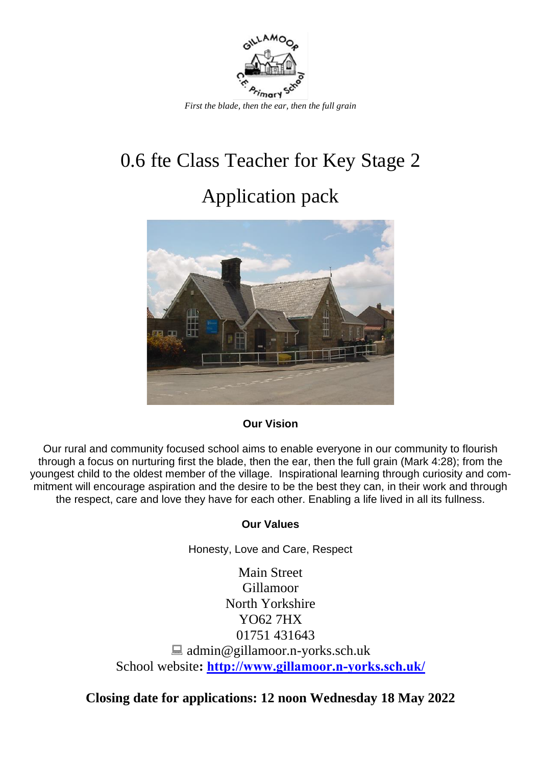

# 0.6 fte Class Teacher for Key Stage 2

## Application pack



#### **Our Vision**

Our rural and community focused school aims to enable everyone in our community to flourish through a focus on nurturing first the blade, then the ear, then the full grain (Mark 4:28); from the youngest child to the oldest member of the village. Inspirational learning through curiosity and commitment will encourage aspiration and the desire to be the best they can, in their work and through the respect, care and love they have for each other. Enabling a life lived in all its fullness.

#### **Our Values**

Honesty, Love and Care, Respect

Main Street Gillamoor North Yorkshire YO62 7HX 01751 431643  $\Box$  admin@gillamoor.n-yorks.sch.uk School website**: <http://www.gillamoor.n-yorks.sch.uk/>**

**Closing date for applications: 12 noon Wednesday 18 May 2022**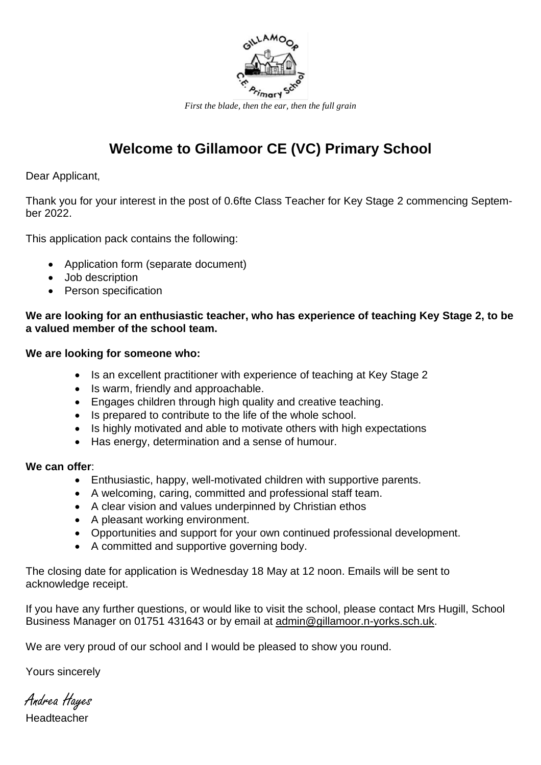

## **Welcome to Gillamoor CE (VC) Primary School**

Dear Applicant,

Thank you for your interest in the post of 0.6fte Class Teacher for Key Stage 2 commencing September 2022.

This application pack contains the following:

- Application form (separate document)
- Job description
- Person specification

#### **We are looking for an enthusiastic teacher, who has experience of teaching Key Stage 2, to be a valued member of the school team.**

#### **We are looking for someone who:**

- Is an excellent practitioner with experience of teaching at Key Stage 2
- Is warm, friendly and approachable.
- Engages children through high quality and creative teaching.
- Is prepared to contribute to the life of the whole school.
- Is highly motivated and able to motivate others with high expectations
- Has energy, determination and a sense of humour.

#### **We can offer**:

- Enthusiastic, happy, well-motivated children with supportive parents.
- A welcoming, caring, committed and professional staff team.
- A clear vision and values underpinned by Christian ethos
- A pleasant working environment.
- Opportunities and support for your own continued professional development.
- A committed and supportive governing body.

The closing date for application is Wednesday 18 May at 12 noon. Emails will be sent to acknowledge receipt.

If you have any further questions, or would like to visit the school, please contact Mrs Hugill, School Business Manager on 01751 431643 or by email at [admin@gillamoor.n-yorks.sch.uk.](mailto:admin@gillamoor.n-yorks.sch.uk)

We are very proud of our school and I would be pleased to show you round.

Yours sincerely

Andrea Hayes Headteacher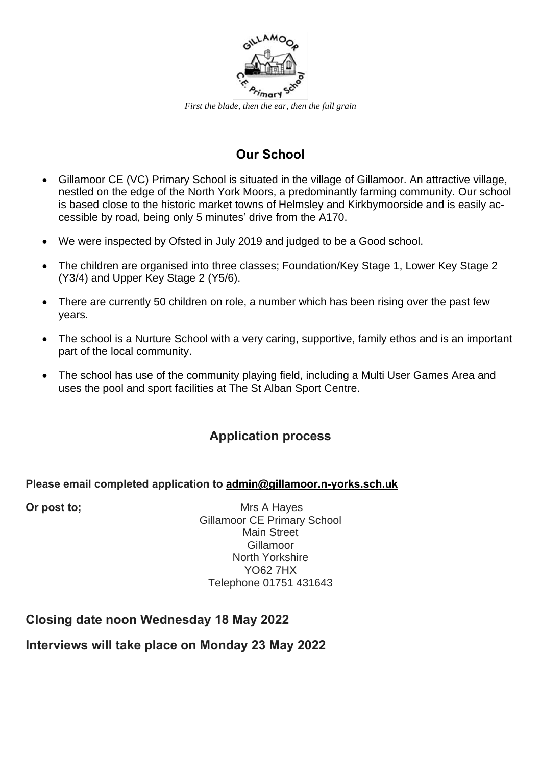

*First the blade, then the ear, then the full grain*

## **Our School**

- Gillamoor CE (VC) Primary School is situated in the village of Gillamoor. An attractive village, nestled on the edge of the North York Moors, a predominantly farming community. Our school is based close to the historic market towns of Helmsley and Kirkbymoorside and is easily accessible by road, being only 5 minutes' drive from the A170.
- We were inspected by Ofsted in July 2019 and judged to be a Good school.
- The children are organised into three classes; Foundation/Key Stage 1, Lower Key Stage 2 (Y3/4) and Upper Key Stage 2 (Y5/6).
- There are currently 50 children on role, a number which has been rising over the past few years.
- The school is a Nurture School with a very caring, supportive, family ethos and is an important part of the local community.
- The school has use of the community playing field, including a Multi User Games Area and uses the pool and sport facilities at The St Alban Sport Centre.

## **Application process**

#### **Please email completed application to [admin@gillamoor.n-yorks.sch.uk](mailto:admin@gillamoor.n-yorks.sch.uk)**

**Or post to;** Mrs A Hayes Gillamoor CE Primary School Main Street Gillamoor North Yorkshire YO62 7HX Telephone 01751 431643

## **Closing date noon Wednesday 18 May 2022**

## **Interviews will take place on Monday 23 May 2022**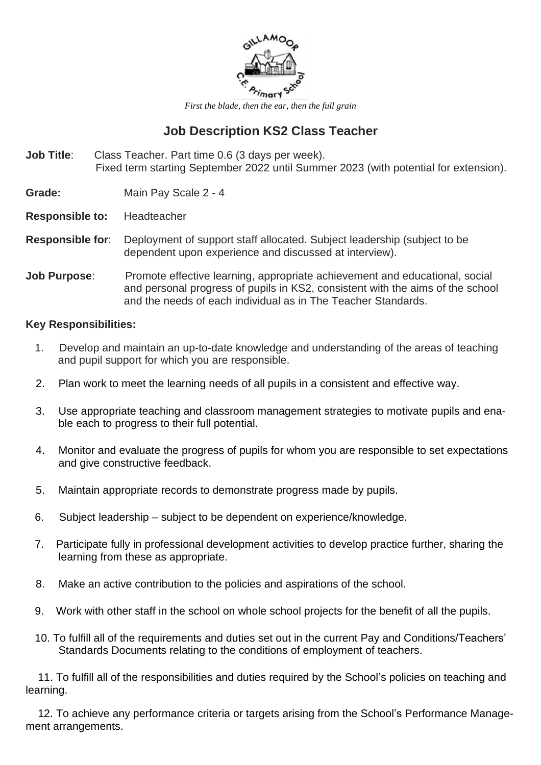

*First the blade, then the ear, then the full grain*

## **Job Description KS2 Class Teacher**

**Job Title**: Class Teacher. Part time 0.6 (3 days per week). Fixed term starting September 2022 until Summer 2023 (with potential for extension).

**Grade:** Main Pay Scale 2 - 4

**Responsible to:** Headteacher

- **Responsible for**: Deployment of support staff allocated. Subject leadership (subject to be dependent upon experience and discussed at interview).
- **Job Purpose:** Promote effective learning, appropriate achievement and educational, social and personal progress of pupils in KS2, consistent with the aims of the school and the needs of each individual as in The Teacher Standards.

#### **Key Responsibilities:**

- 1. Develop and maintain an up-to-date knowledge and understanding of the areas of teaching and pupil support for which you are responsible.
- 2. Plan work to meet the learning needs of all pupils in a consistent and effective way.
- 3. Use appropriate teaching and classroom management strategies to motivate pupils and enable each to progress to their full potential.
- 4. Monitor and evaluate the progress of pupils for whom you are responsible to set expectations and give constructive feedback.
- 5. Maintain appropriate records to demonstrate progress made by pupils.
- 6. Subject leadership subject to be dependent on experience/knowledge.
- 7. Participate fully in professional development activities to develop practice further, sharing the learning from these as appropriate.
- 8. Make an active contribution to the policies and aspirations of the school.
- 9. Work with other staff in the school on whole school projects for the benefit of all the pupils.
- 10. To fulfill all of the requirements and duties set out in the current Pay and Conditions/Teachers' Standards Documents relating to the conditions of employment of teachers.

 11. To fulfill all of the responsibilities and duties required by the School's policies on teaching and learning.

 12. To achieve any performance criteria or targets arising from the School's Performance Management arrangements.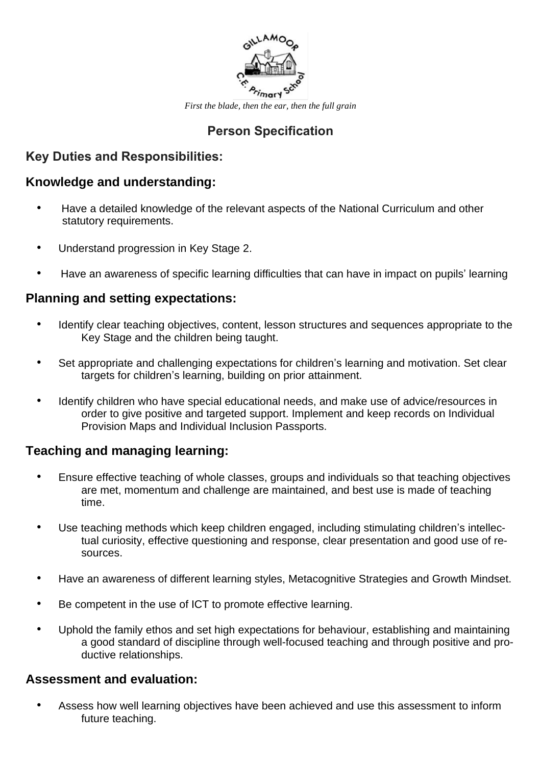

*First the blade, then the ear, then the full grain*

## **Person Specification**

#### **Key Duties and Responsibilities:**

#### **Knowledge and understanding:**

- Have a detailed knowledge of the relevant aspects of the National Curriculum and other statutory requirements.
- Understand progression in Key Stage 2.
- Have an awareness of specific learning difficulties that can have in impact on pupils' learning

#### **Planning and setting expectations:**

- Identify clear teaching objectives, content, lesson structures and sequences appropriate to the Key Stage and the children being taught.
- Set appropriate and challenging expectations for children's learning and motivation. Set clear targets for children's learning, building on prior attainment.
- Identify children who have special educational needs, and make use of advice/resources in order to give positive and targeted support. Implement and keep records on Individual Provision Maps and Individual Inclusion Passports.

## **Teaching and managing learning:**

- Ensure effective teaching of whole classes, groups and individuals so that teaching objectives are met, momentum and challenge are maintained, and best use is made of teaching time.
- Use teaching methods which keep children engaged, including stimulating children's intellectual curiosity, effective questioning and response, clear presentation and good use of resources.
- Have an awareness of different learning styles, Metacognitive Strategies and Growth Mindset.
- Be competent in the use of ICT to promote effective learning.
- Uphold the family ethos and set high expectations for behaviour, establishing and maintaining a good standard of discipline through well-focused teaching and through positive and productive relationships.

#### **Assessment and evaluation:**

• Assess how well learning objectives have been achieved and use this assessment to inform future teaching.